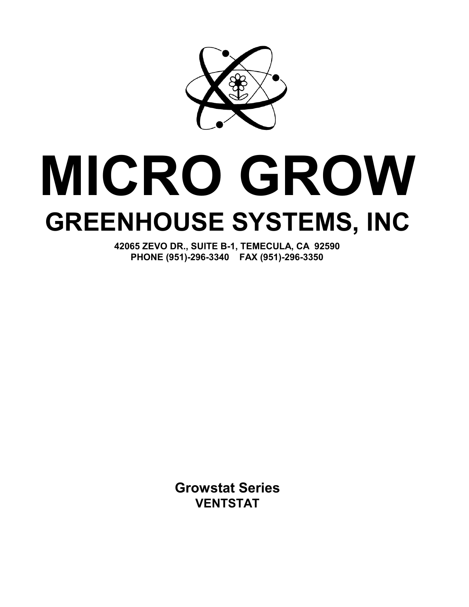

# **MICRO GROW GREENHOUSE SYSTEMS, INC**

**42065 ZEVO DR., SUITE B-1, TEMECULA, CA 92590 PHONE (951)-296-3340 FAX (951)-296-3350**

> **Growstat Series VENTSTAT**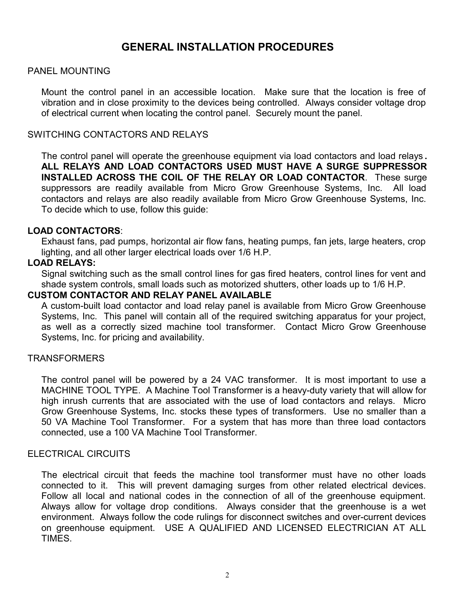# **GENERAL INSTALLATION PROCEDURES**

#### PANEL MOUNTING

Mount the control panel in an accessible location. Make sure that the location is free of vibration and in close proximity to the devices being controlled. Always consider voltage drop of electrical current when locating the control panel. Securely mount the panel.

#### SWITCHING CONTACTORS AND RELAYS

The control panel will operate the greenhouse equipment via load contactors and load relays **. ALL RELAYS AND LOAD CONTACTORS USED MUST HAVE A SURGE SUPPRESSOR INSTALLED ACROSS THE COIL OF THE RELAY OR LOAD CONTACTOR**. These surge suppressors are readily available from Micro Grow Greenhouse Systems, Inc. All load contactors and relays are also readily available from Micro Grow Greenhouse Systems, Inc. To decide which to use, follow this guide:

#### **LOAD CONTACTORS**:

Exhaust fans, pad pumps, horizontal air flow fans, heating pumps, fan jets, large heaters, crop lighting, and all other larger electrical loads over 1/6 H.P.

#### **LOAD RELAYS:**

Signal switching such as the small control lines for gas fired heaters, control lines for vent and shade system controls, small loads such as motorized shutters, other loads up to 1/6 H.P.

#### **CUSTOM CONTACTOR AND RELAY PANEL AVAILABLE**

A custom-built load contactor and load relay panel is available from Micro Grow Greenhouse Systems, Inc. This panel will contain all of the required switching apparatus for your project, as well as a correctly sized machine tool transformer. Contact Micro Grow Greenhouse Systems, Inc. for pricing and availability.

#### **TRANSFORMERS**

The control panel will be powered by a 24 VAC transformer. It is most important to use a MACHINE TOOL TYPE. A Machine Tool Transformer is a heavy-duty variety that will allow for high inrush currents that are associated with the use of load contactors and relays. Micro Grow Greenhouse Systems, Inc. stocks these types of transformers. Use no smaller than a 50 VA Machine Tool Transformer. For a system that has more than three load contactors connected, use a 100 VA Machine Tool Transformer.

#### ELECTRICAL CIRCUITS

The electrical circuit that feeds the machine tool transformer must have no other loads connected to it. This will prevent damaging surges from other related electrical devices. Follow all local and national codes in the connection of all of the greenhouse equipment. Always allow for voltage drop conditions. Always consider that the greenhouse is a wet environment. Always follow the code rulings for disconnect switches and over-current devices on greenhouse equipment. USE A QUALIFIED AND LICENSED ELECTRICIAN AT ALL TIMES.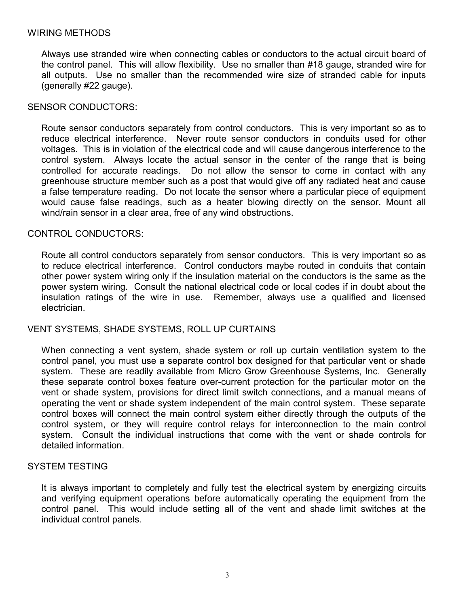#### WIRING METHODS

Always use stranded wire when connecting cables or conductors to the actual circuit board of the control panel. This will allow flexibility. Use no smaller than #18 gauge, stranded wire for all outputs. Use no smaller than the recommended wire size of stranded cable for inputs (generally #22 gauge).

#### SENSOR CONDUCTORS:

Route sensor conductors separately from control conductors. This is very important so as to reduce electrical interference. Never route sensor conductors in conduits used for other voltages. This is in violation of the electrical code and will cause dangerous interference to the control system. Always locate the actual sensor in the center of the range that is being controlled for accurate readings. Do not allow the sensor to come in contact with any greenhouse structure member such as a post that would give off any radiated heat and cause a false temperature reading. Do not locate the sensor where a particular piece of equipment would cause false readings, such as a heater blowing directly on the sensor. Mount all wind/rain sensor in a clear area, free of any wind obstructions.

#### CONTROL CONDUCTORS:

Route all control conductors separately from sensor conductors. This is very important so as to reduce electrical interference. Control conductors maybe routed in conduits that contain other power system wiring only if the insulation material on the conductors is the same as the power system wiring. Consult the national electrical code or local codes if in doubt about the insulation ratings of the wire in use. Remember, always use a qualified and licensed electrician.

#### VENT SYSTEMS, SHADE SYSTEMS, ROLL UP CURTAINS

When connecting a vent system, shade system or roll up curtain ventilation system to the control panel, you must use a separate control box designed for that particular vent or shade system. These are readily available from Micro Grow Greenhouse Systems, Inc. Generally these separate control boxes feature over-current protection for the particular motor on the vent or shade system, provisions for direct limit switch connections, and a manual means of operating the vent or shade system independent of the main control system. These separate control boxes will connect the main control system either directly through the outputs of the control system, or they will require control relays for interconnection to the main control system. Consult the individual instructions that come with the vent or shade controls for detailed information.

#### SYSTEM TESTING

It is always important to completely and fully test the electrical system by energizing circuits and verifying equipment operations before automatically operating the equipment from the control panel. This would include setting all of the vent and shade limit switches at the individual control panels.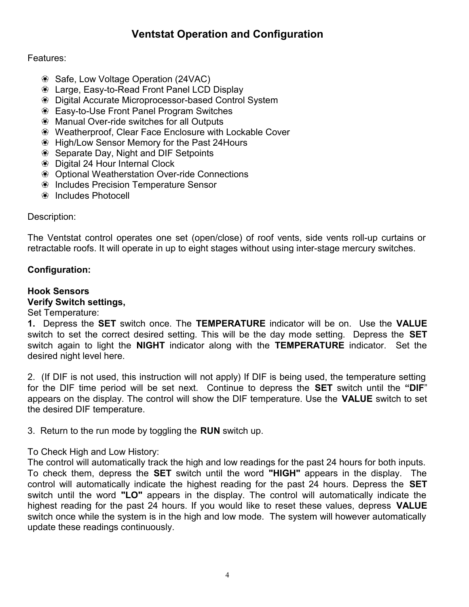# **Ventstat Operation and Configuration**

#### Features:

- ` Safe, Low Voltage Operation (24VAC)
- ` Large, Easy-to-Read Front Panel LCD Display
- ` Digital Accurate Microprocessor-based Control System
- <sup>

•</sup> Easy-to-Use Front Panel Program Switches
- <sup>

■</sup> Manual Over-ride switches for all Outputs
- <sup>

•</sup> Weatherproof, Clear Face Enclosure with Lockable Cover
- ` High/Low Sensor Memory for the Past 24Hours
- <sup>

•</sup> Separate Day, Night and DIF Setpoints
- <sup>

■</sup> Digital 24 Hour Internal Clock
- <sup>

•</sup> Optional Weatherstation Over-ride Connections
- ` Includes Precision Temperature Sensor
- <sup><sup>●</sup> Includes Photocell</sup>

#### Description:

The Ventstat control operates one set (open/close) of roof vents, side vents roll-up curtains or retractable roofs. It will operate in up to eight stages without using inter-stage mercury switches.

#### **Configuration:**

#### **Hook Sensors**

#### **Verify Switch settings,**

#### Set Temperature:

**1.** Depress the **SET** switch once. The **TEMPERATURE** indicator will be on. Use the **VALUE** switch to set the correct desired setting. This will be the day mode setting. Depress the **SET** switch again to light the **NIGHT** indicator along with the **TEMPERATURE** indicator. Set the desired night level here.

2. (If DIF is not used, this instruction will not apply) If DIF is being used, the temperature setting for the DIF time period will be set next. Continue to depress the **SET** switch until the **"DIF**" appears on the display. The control will show the DIF temperature. Use the **VALUE** switch to set the desired DIF temperature.

3. Return to the run mode by toggling the **RUN** switch up.

#### To Check High and Low History:

The control will automatically track the high and low readings for the past 24 hours for both inputs. To check them, depress the **SET** switch until the word **"HIGH"** appears in the display. The control will automatically indicate the highest reading for the past 24 hours. Depress the **SET** switch until the word **"LO"** appears in the display. The control will automatically indicate the highest reading for the past 24 hours. If you would like to reset these values, depress **VALUE** switch once while the system is in the high and low mode. The system will however automatically update these readings continuously.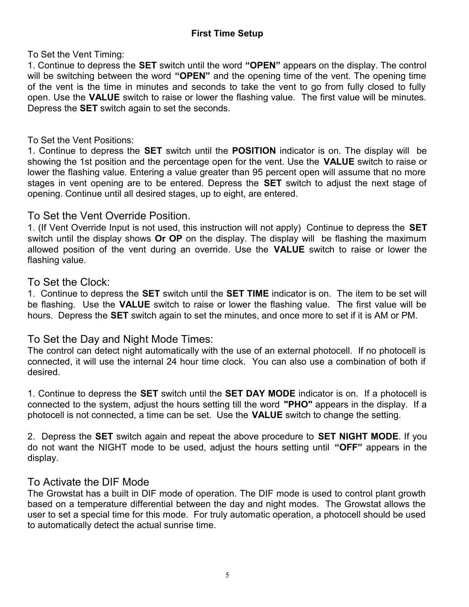To Set the Vent Timing:

1. Continue to depress the **SET** switch until the word **"OPEN"** appears on the display. The control will be switching between the word **"OPEN"** and the opening time of the vent. The opening time of the vent is the time in minutes and seconds to take the vent to go from fully closed to fully open. Use the **VALUE** switch to raise or lower the flashing value. The first value will be minutes. Depress the **SET** switch again to set the seconds.

#### To Set the Vent Positions:

1. Continue to depress the **SET** switch until the **POSITION** indicator is on. The display will be showing the 1st position and the percentage open for the vent. Use the **VALUE** switch to raise or lower the flashing value. Entering a value greater than 95 percent open will assume that no more stages in vent opening are to be entered. Depress the **SET** switch to adjust the next stage of opening. Continue until all desired stages, up to eight, are entered.

## To Set the Vent Override Position.

1. (If Vent Override Input is not used, this instruction will not apply) Continue to depress the **SET** switch until the display shows **Or OP** on the display. The display will be flashing the maximum allowed position of the vent during an override. Use the **VALUE** switch to raise or lower the flashing value.

#### To Set the Clock:

1. Continue to depress the **SET** switch until the **SET TIME** indicator is on. The item to be set will be flashing. Use the **VALUE** switch to raise or lower the flashing value. The first value will be hours. Depress the **SET** switch again to set the minutes, and once more to set if it is AM or PM.

## To Set the Day and Night Mode Times:

The control can detect night automatically with the use of an external photocell. If no photocell is connected, it will use the internal 24 hour time clock. You can also use a combination of both if desired.

1. Continue to depress the **SET** switch until the **SET DAY MODE** indicator is on. If a photocell is connected to the system, adjust the hours setting till the word **"PHO"** appears in the display. If a photocell is not connected, a time can be set. Use the **VALUE** switch to change the setting.

2. Depress the **SET** switch again and repeat the above procedure to **SET NIGHT MODE**. If you do not want the NIGHT mode to be used, adjust the hours setting until **"OFF"** appears in the display.

## To Activate the DIF Mode

The Growstat has a built in DIF mode of operation. The DIF mode is used to control plant growth based on a temperature differential between the day and night modes. The Growstat allows the user to set a special time for this mode. For truly automatic operation, a photocell should be used to automatically detect the actual sunrise time.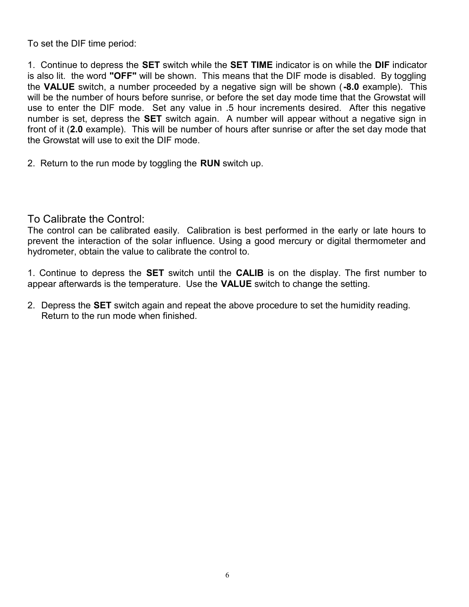To set the DIF time period:

1. Continue to depress the **SET** switch while the **SET TIME** indicator is on while the **DIF** indicator is also lit. the word **"OFF"** will be shown. This means that the DIF mode is disabled. By toggling the **VALUE** switch, a number proceeded by a negative sign will be shown (**-8.0** example). This will be the number of hours before sunrise, or before the set day mode time that the Growstat will use to enter the DIF mode. Set any value in .5 hour increments desired. After this negative number is set, depress the **SET** switch again. A number will appear without a negative sign in front of it (**2.0** example). This will be number of hours after sunrise or after the set day mode that the Growstat will use to exit the DIF mode.

2. Return to the run mode by toggling the **RUN** switch up.

#### To Calibrate the Control:

The control can be calibrated easily. Calibration is best performed in the early or late hours to prevent the interaction of the solar influence. Using a good mercury or digital thermometer and hydrometer, obtain the value to calibrate the control to.

1. Continue to depress the **SET** switch until the **CALIB** is on the display. The first number to appear afterwards is the temperature. Use the **VALUE** switch to change the setting.

2. Depress the **SET** switch again and repeat the above procedure to set the humidity reading. Return to the run mode when finished.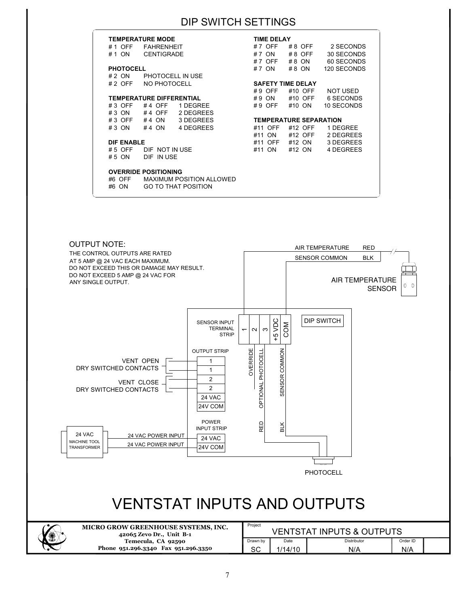# DIP SWITCH SETTINGS

| <b>TEMPERATURE MODE</b>                   |                                 |                            |                               | <b>TIME DELAY</b> |         |          |             |  |  |
|-------------------------------------------|---------------------------------|----------------------------|-------------------------------|-------------------|---------|----------|-------------|--|--|
| # 1 OFF                                   | <b>FAHRENHEIT</b>               |                            | #7 OFF                        |                   |         | #8 OFF   | 2 SECONDS   |  |  |
| #1 ON                                     | <b>CENTIGRADE</b>               |                            |                               | # 7 ON            |         | $#8$ OFF | 30 SECONDS  |  |  |
|                                           |                                 |                            |                               | #7 OFF            | $#8$ ON |          | 60 SECONDS  |  |  |
| <b>PHOTOCELL</b>                          |                                 |                            |                               | #7 ON             |         | #8 ON    | 120 SECONDS |  |  |
| # 2 ON                                    | PHOTOCELL IN USE                |                            |                               |                   |         |          |             |  |  |
| $#2$ OFF<br>NO PHOTOCELL                  |                                 |                            | <b>SAFETY TIME DELAY</b>      |                   |         |          |             |  |  |
|                                           |                                 |                            | $#9$ OFF                      |                   |         | #10 OFF  | NOT USED    |  |  |
|                                           | <b>TEMPERATURE DIFFERENTIAL</b> |                            |                               | #9 ON             |         | #10 OFF  | 6 SECONDS   |  |  |
| $#3$ OFF                                  | #4 OFF                          | 1 DEGREE                   |                               | #9 OFF            |         | #10 ON   | 10 SECONDS  |  |  |
| $#3$ ON                                   |                                 | #4 OFF 2 DEGREES           |                               |                   |         |          |             |  |  |
| $\#3$ OFF $\#4$ ON                        |                                 | 3 DEGREES                  | <b>TEMPERATURE SEPARATION</b> |                   |         |          |             |  |  |
| $#3$ ON                                   | #4 $ON$                         | 4 DEGREES                  |                               | #11 OFF           |         | #12 OFF  | 1 DEGREE    |  |  |
|                                           |                                 |                            | #11 ON                        |                   |         | #12 OFF  | 2 DEGREES   |  |  |
| <b>DIF ENABLE</b>                         |                                 |                            |                               | #11 OFF           |         | #12 ON   | 3 DEGREES   |  |  |
| $# 5$ OFF                                 | DIF NOT IN USE                  |                            | #11 ON                        |                   | #12 ON  |          | 4 DEGREES   |  |  |
| DIF IN USE<br># 5 ON                      |                                 |                            |                               |                   |         |          |             |  |  |
|                                           |                                 |                            |                               |                   |         |          |             |  |  |
| <b>OVERRIDE POSITIONING</b>               |                                 |                            |                               |                   |         |          |             |  |  |
| <b>MAXIMUM POSITION ALLOWED</b><br>#6 OFF |                                 |                            |                               |                   |         |          |             |  |  |
| #6 ON                                     |                                 | <b>GO TO THAT POSITION</b> |                               |                   |         |          |             |  |  |
|                                           |                                 |                            |                               |                   |         |          |             |  |  |

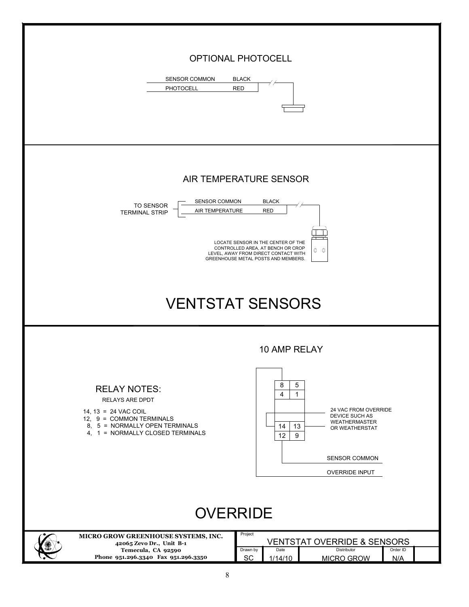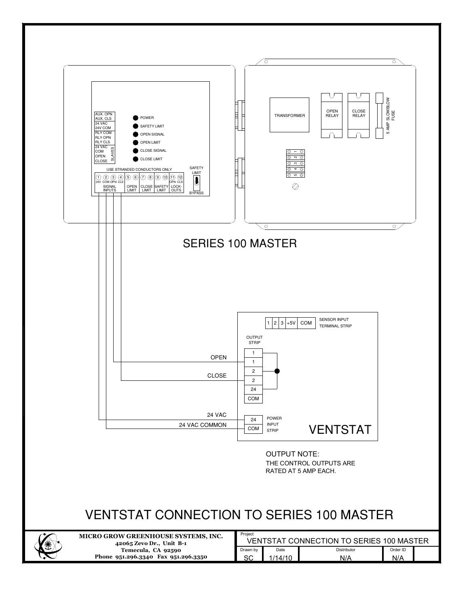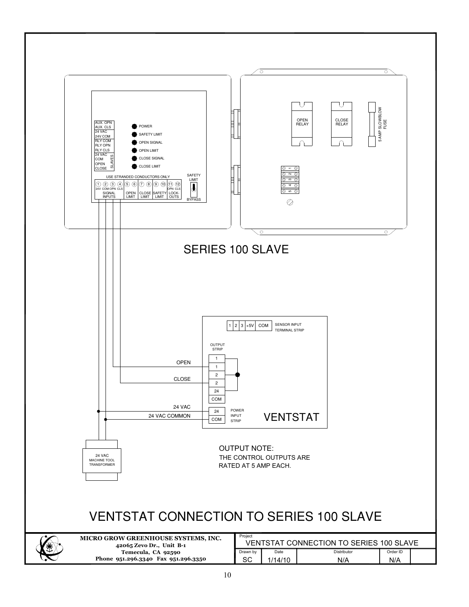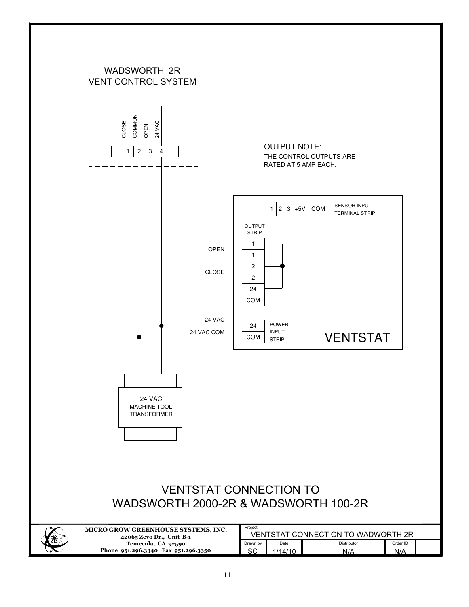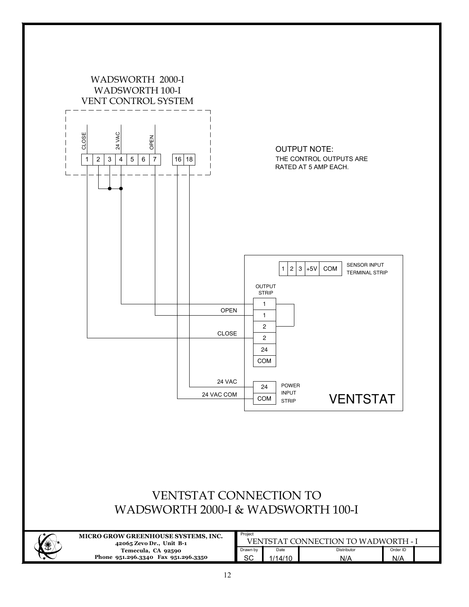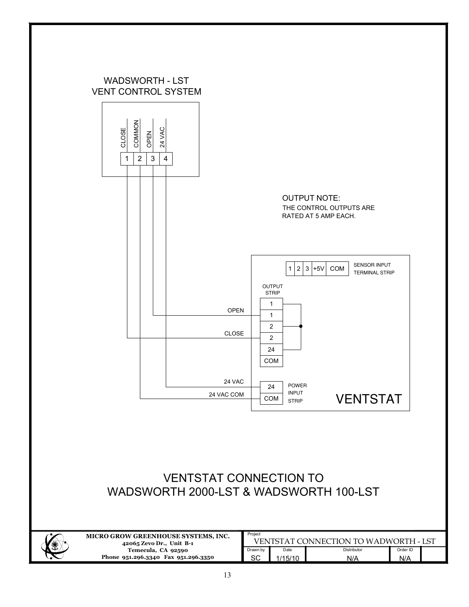